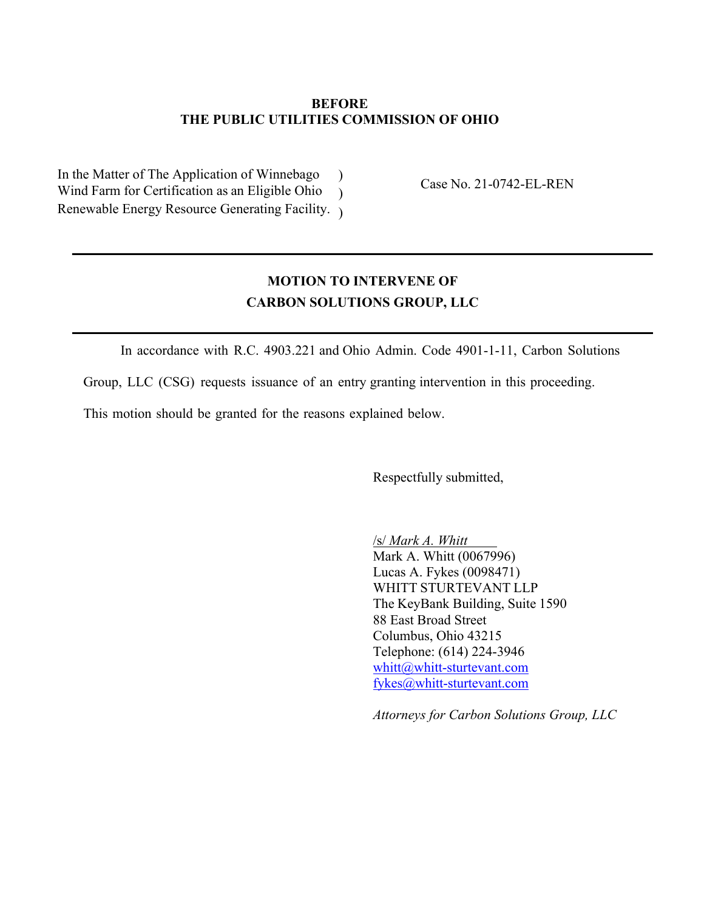## **BEFORE THE PUBLIC UTILITIES COMMISSION OF OHIO**

In the Matter of The Application of Winnebago ) Wind Farm for Certification as an Eligible Ohio ) Renewable Energy Resource Generating Facility. )

Case No. 21-0742-EL-REN

# **MOTION TO INTERVENE OF CARBON SOLUTIONS GROUP, LLC**

In accordance with R.C. 4903.221 and Ohio Admin. Code 4901-1-11, Carbon Solutions

Group, LLC (CSG) requests issuance of an entry granting intervention in this proceeding.

This motion should be granted for the reasons explained below.

Respectfully submitted,

/s/ *Mark A. Whitt* Mark A. Whitt (0067996) Lucas A. Fykes (0098471) WHITT STURTEVANT LLP The KeyBank Building, Suite 1590 88 East Broad Street Columbus, Ohio 43215 Telephone: (614) 224-3946 whitt@whitt-sturtevant.com fykes@whitt-sturtevant.com

*Attorneys for Carbon Solutions Group, LLC*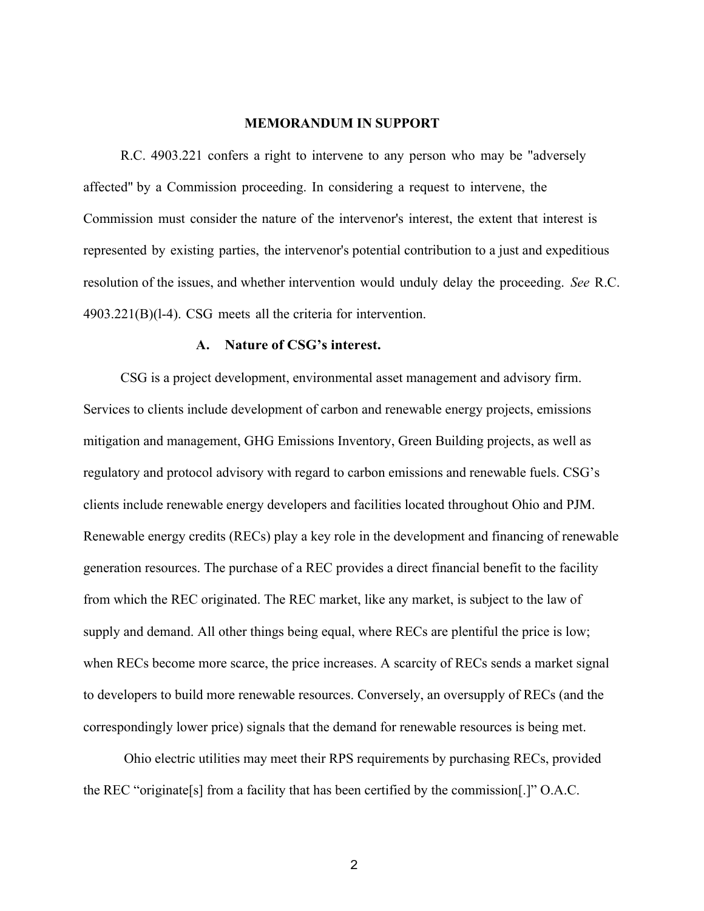#### **MEMORANDUM IN SUPPORT**

R.C. 4903.221 confers a right to intervene to any person who may be "adversely affected" by a Commission proceeding. In considering a request to intervene, the Commission must consider the nature of the intervenor's interest, the extent that interest is represented by existing parties, the intervenor's potential contribution to a just and expeditious resolution of the issues, and whether intervention would unduly delay the proceeding. *See* R.C. 4903.221(B)(l-4). CSG meets all the criteria for intervention.

#### **A. Nature of CSG's interest.**

CSG is a project development, environmental asset management and advisory firm. Services to clients include development of carbon and renewable energy projects, emissions mitigation and management, GHG Emissions Inventory, Green Building projects, as well as regulatory and protocol advisory with regard to carbon emissions and renewable fuels. CSG's clients include renewable energy developers and facilities located throughout Ohio and PJM. Renewable energy credits (RECs) play a key role in the development and financing of renewable generation resources. The purchase of a REC provides a direct financial benefit to the facility from which the REC originated. The REC market, like any market, is subject to the law of supply and demand. All other things being equal, where RECs are plentiful the price is low; when RECs become more scarce, the price increases. A scarcity of RECs sends a market signal to developers to build more renewable resources. Conversely, an oversupply of RECs (and the correspondingly lower price) signals that the demand for renewable resources is being met.

Ohio electric utilities may meet their RPS requirements by purchasing RECs, provided the REC "originate[s] from a facility that has been certified by the commission[.]" O.A.C.

2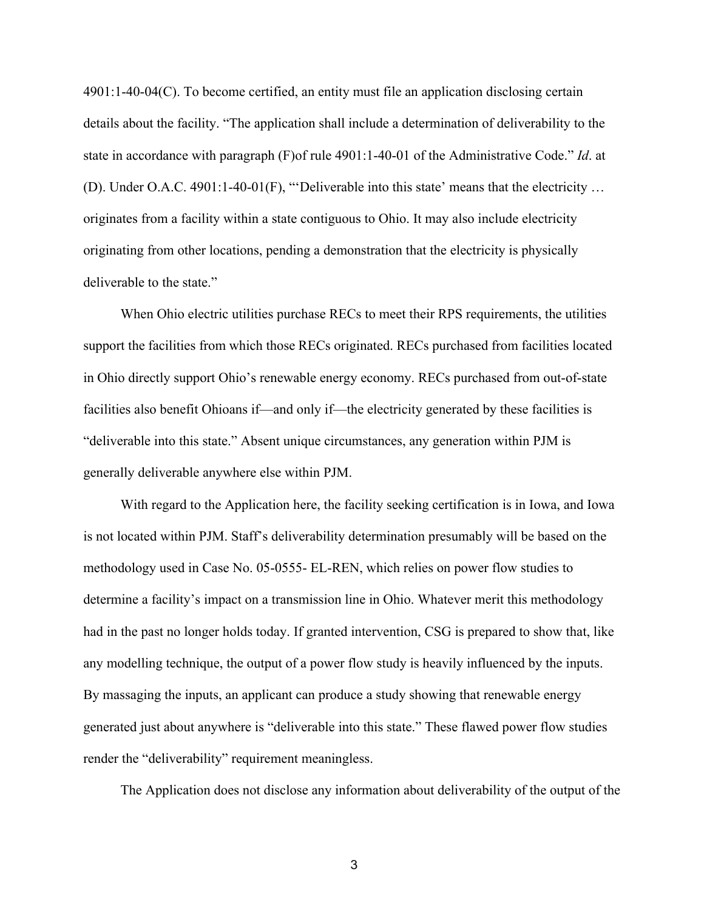4901:1-40-04(C). To become certified, an entity must file an application disclosing certain details about the facility. "The application shall include a determination of deliverability to the state in accordance with paragraph (F)of rule 4901:1-40-01 of the Administrative Code." *Id*. at (D). Under O.A.C. 4901:1-40-01(F), "'Deliverable into this state' means that the electricity … originates from a facility within a state contiguous to Ohio. It may also include electricity originating from other locations, pending a demonstration that the electricity is physically deliverable to the state."

When Ohio electric utilities purchase RECs to meet their RPS requirements, the utilities support the facilities from which those RECs originated. RECs purchased from facilities located in Ohio directly support Ohio's renewable energy economy. RECs purchased from out-of-state facilities also benefit Ohioans if—and only if—the electricity generated by these facilities is "deliverable into this state." Absent unique circumstances, any generation within PJM is generally deliverable anywhere else within PJM.

With regard to the Application here, the facility seeking certification is in Iowa, and Iowa is not located within PJM. Staff's deliverability determination presumably will be based on the methodology used in Case No. 05-0555- EL-REN, which relies on power flow studies to determine a facility's impact on a transmission line in Ohio. Whatever merit this methodology had in the past no longer holds today. If granted intervention, CSG is prepared to show that, like any modelling technique, the output of a power flow study is heavily influenced by the inputs. By massaging the inputs, an applicant can produce a study showing that renewable energy generated just about anywhere is "deliverable into this state." These flawed power flow studies render the "deliverability" requirement meaningless.

The Application does not disclose any information about deliverability of the output of the

3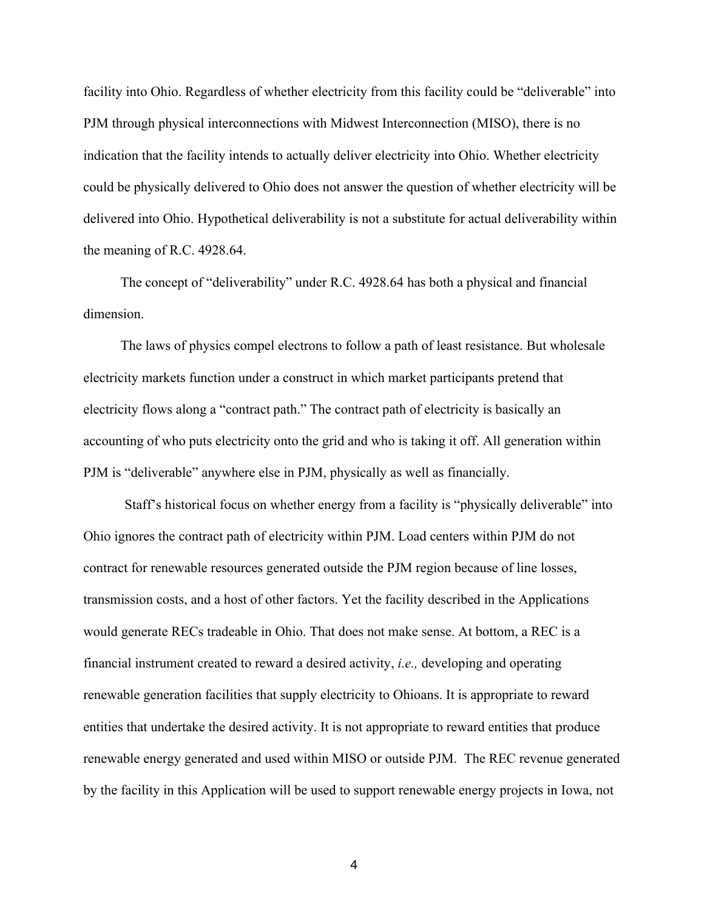facility into Ohio. Regardless of whether electricity from this facility could be "deliverable" into PJM through physical interconnections with Midwest Interconnection (MISO), there is no indication that the facility intends to actually deliver electricity into Ohio. Whether electricity could be physically delivered to Ohio does not answer the question of whether electricity will be delivered into Ohio. Hypothetical deliverability is not a substitute for actual deliverability within the meaning of R.C. 4928.64.

The concept of "deliverability" under R.C. 4928.64 has both a physical and financial dimension.

The laws of physics compel electrons to follow a path of least resistance. But wholesale electricity markets function under a construct in which market participants pretend that electricity flows along a "contract path." The contract path of electricity is basically an accounting of who puts electricity onto the grid and who is taking it off. All generation within PJM is "deliverable" anywhere else in PJM, physically as well as financially.

Staff's historical focus on whether energy from a facility is "physically deliverable" into Ohio ignores the contract path of electricity within PJM. Load centers within PJM do not contract for renewable resources generated outside the PJM region because of line losses, transmission costs, and a host of other factors. Yet the facility described in the Applications would generate RECs tradeable in Ohio. That does not make sense. At bottom, a REC is a financial instrument created to reward a desired activity, *i.e.,* developing and operating renewable generation facilities that supply electricity to Ohioans. It is appropriate to reward entities that undertake the desired activity. It is not appropriate to reward entities that produce renewable energy generated and used within MISO or outside PJM. The REC revenue generated by the facility in this Application will be used to support renewable energy projects in Iowa, not

4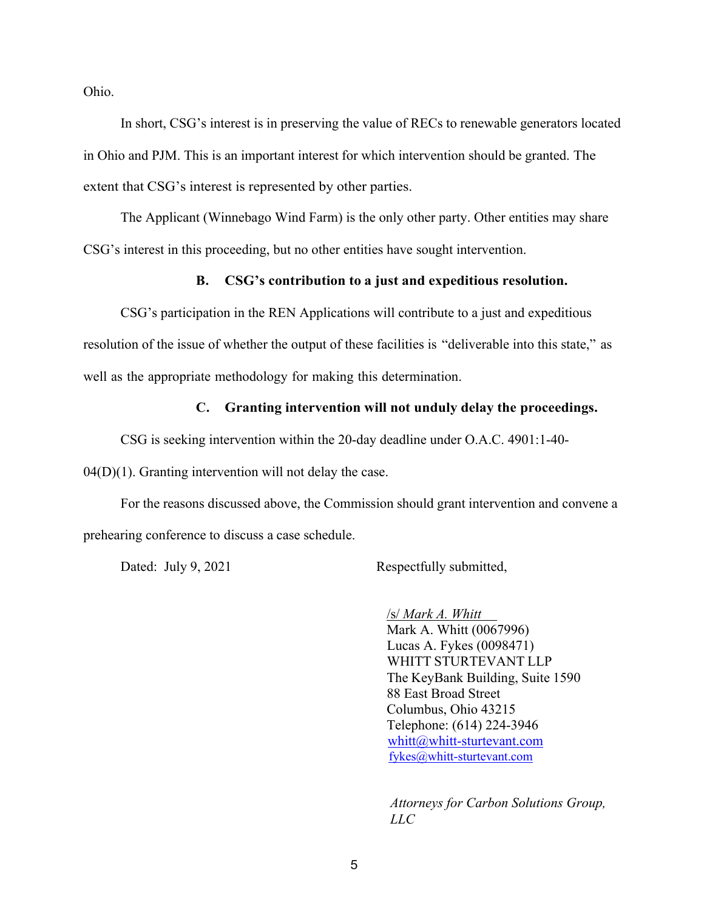Ohio.

In short, CSG's interest is in preserving the value of RECs to renewable generators located in Ohio and PJM. This is an important interest for which intervention should be granted. The extent that CSG's interest is represented by other parties.

The Applicant (Winnebago Wind Farm) is the only other party. Other entities may share CSG's interest in this proceeding, but no other entities have sought intervention.

### **B. CSG's contribution to a just and expeditious resolution.**

CSG's participation in the REN Applications will contribute to a just and expeditious resolution of the issue of whether the output of these facilities is "deliverable into this state," as well as the appropriate methodology for making this determination.

#### **C. Granting intervention will not unduly delay the proceedings.**

CSG is seeking intervention within the 20-day deadline under O.A.C. 4901:1-40-

 $04(D)(1)$ . Granting intervention will not delay the case.

For the reasons discussed above, the Commission should grant intervention and convene a prehearing conference to discuss a case schedule.

Dated: July 9, 2021 Respectfully submitted,

 /s/ *Mark A. Whitt* Mark A. Whitt (0067996) Lucas A. Fykes (0098471) WHITT STURTEVANT LLP The KeyBank Building, Suite 1590 88 East Broad Street Columbus, Ohio 43215 Telephone: (614) 224-3946 whitt@whitt-sturtevant.com fykes@whitt-sturtevant.com

*Attorneys for Carbon Solutions Group, LLC*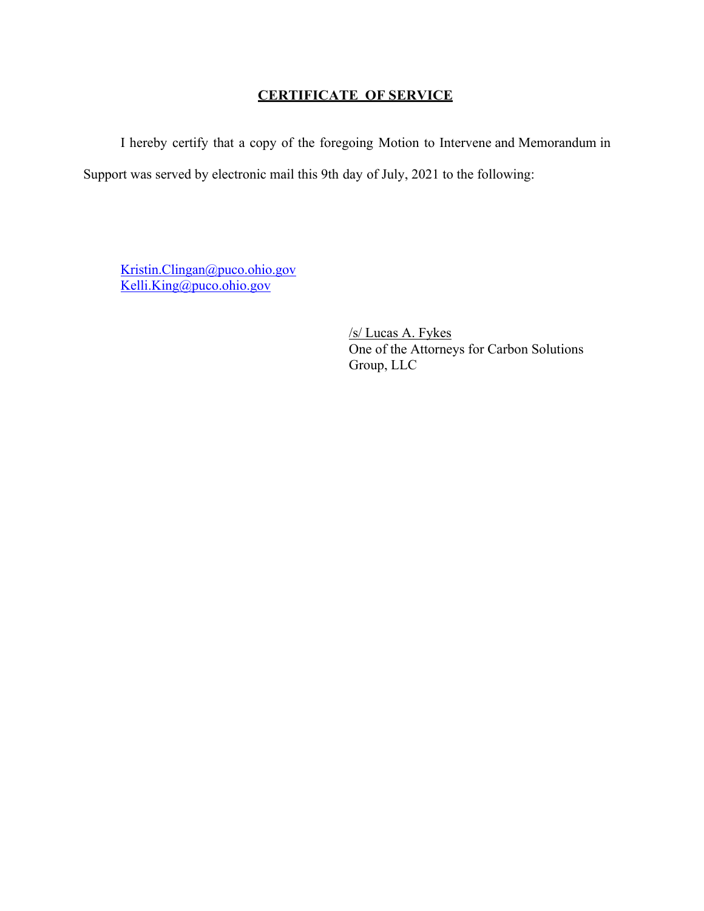## **CERTIFICATE OF SERVICE**

I hereby certify that a copy of the foregoing Motion to Intervene and Memorandum in Support was served by electronic mail this 9th day of July, 2021 to the following:

Kristin.Clingan@puco.ohio.gov Kelli.King@puco.ohio.gov

> /s/ Lucas A. Fykes One of the Attorneys for Carbon Solutions Group, LLC